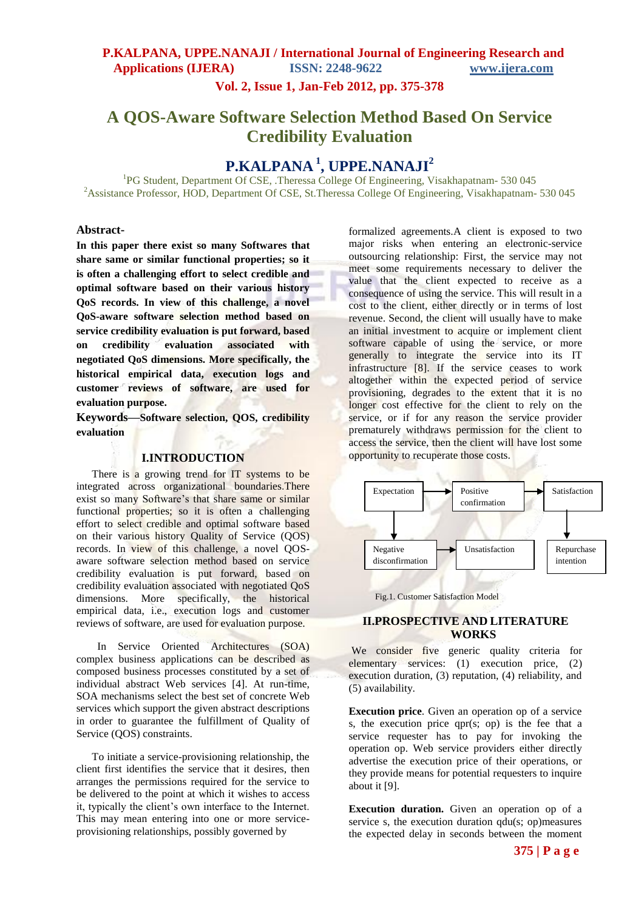**Vol. 2, Issue 1, Jan-Feb 2012, pp. 375-378**

# **A QOS-Aware Software Selection Method Based On Service Credibility Evaluation**

## **P.KALPANA <sup>1</sup> , UPPE.NANAJI<sup>2</sup>**

<sup>1</sup>PG Student, Department Of CSE, .Theressa College Of Engineering, Visakhapatnam- 530 045 <sup>2</sup>Assistance Professor, HOD, Department Of CSE, St. Theressa College Of Engineering, Visakhapatnam- 530 045

### **Abstract-**

**In this paper there exist so many Softwares that share same or similar functional properties; so it is often a challenging effort to select credible and optimal software based on their various history QoS records. In view of this challenge, a novel QoS-aware software selection method based on service credibility evaluation is put forward, based on credibility evaluation associated with negotiated QoS dimensions. More specifically, the historical empirical data, execution logs and customer reviews of software, are used for evaluation purpose.** 

**Keywords—Software selection, QOS, credibility evaluation**

### **I.INTRODUCTION**

There is a growing trend for IT systems to be integrated across organizational boundaries.There exist so many Software's that share same or similar functional properties; so it is often a challenging effort to select credible and optimal software based on their various history Quality of Service (QOS) records. In view of this challenge, a novel QOSaware software selection method based on service credibility evaluation is put forward, based on credibility evaluation associated with negotiated QoS dimensions. More specifically, the historical empirical data, i.e., execution logs and customer reviews of software, are used for evaluation purpose.

 In Service Oriented Architectures (SOA) complex business applications can be described as composed business processes constituted by a set of individual abstract Web services [4]. At run-time, SOA mechanisms select the best set of concrete Web services which support the given abstract descriptions in order to guarantee the fulfillment of Quality of Service (QOS) constraints.

To initiate a service-provisioning relationship, the client first identifies the service that it desires, then arranges the permissions required for the service to be delivered to the point at which it wishes to access it, typically the client's own interface to the Internet. This may mean entering into one or more serviceprovisioning relationships, possibly governed by

formalized agreements.A client is exposed to two major risks when entering an electronic-service outsourcing relationship: First, the service may not meet some requirements necessary to deliver the value that the client expected to receive as a consequence of using the service. This will result in a cost to the client, either directly or in terms of lost revenue. Second, the client will usually have to make an initial investment to acquire or implement client software capable of using the service, or more generally to integrate the service into its IT infrastructure [8]. If the service ceases to work altogether within the expected period of service provisioning, degrades to the extent that it is no longer cost effective for the client to rely on the service, or if for any reason the service provider prematurely withdraws permission for the client to access the service, then the client will have lost some opportunity to recuperate those costs.



Fig.1. Customer Satisfaction Model

### **II.PROSPECTIVE AND LITERATURE WORKS**

We consider five generic quality criteria for elementary services: (1) execution price, (2) execution duration, (3) reputation, (4) reliability, and (5) availability.

**Execution price**. Given an operation op of a service s, the execution price qpr(s; op) is the fee that a service requester has to pay for invoking the operation op. Web service providers either directly advertise the execution price of their operations, or they provide means for potential requesters to inquire about it [9].

**Execution duration.** Given an operation op of a service s, the execution duration  $qdu(s; op)$  measures the expected delay in seconds between the moment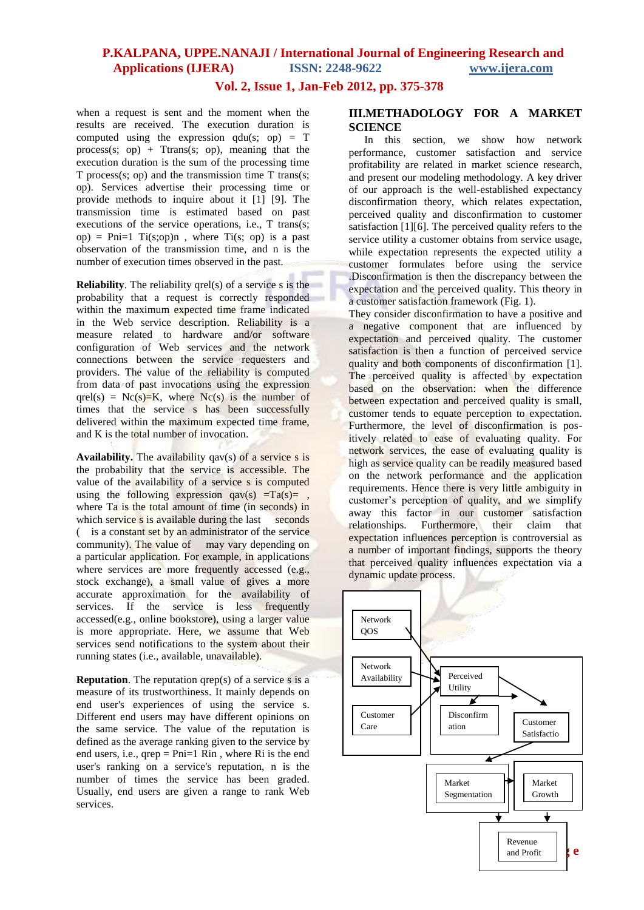**Vol. 2, Issue 1, Jan-Feb 2012, pp. 375-378**

when a request is sent and the moment when the results are received. The execution duration is computed using the expression  $qdu(s; op) = T$ process(s; op) + Ttrans(s; op), meaning that the execution duration is the sum of the processing time T process(s; op) and the transmission time T trans(s; op). Services advertise their processing time or provide methods to inquire about it [1] [9]. The transmission time is estimated based on past executions of the service operations, i.e., T trans(s;  $op)$  = Pni=1 Ti(s;op)n, where Ti(s; op) is a past observation of the transmission time, and n is the number of execution times observed in the past.

**Reliability**. The reliability grel(s) of a service s is the probability that a request is correctly responded within the maximum expected time frame indicated in the Web service description. Reliability is a measure related to hardware and/or software configuration of Web services and the network connections between the service requesters and providers. The value of the reliability is computed from data of past invocations using the expression  $\text{grel}(s) = \text{Nc}(s) = K$ , where  $\text{Nc}(s)$  is the number of times that the service s has been successfully delivered within the maximum expected time frame, and K is the total number of invocation.

Availability. The availability qav(s) of a service s is the probability that the service is accessible. The value of the availability of a service s is computed using the following expression  $qav(s) = Ta(s) =$ , where Ta is the total amount of time (in seconds) in which service s is available during the last seconds ( is a constant set by an administrator of the service community). The value of may vary depending on a particular application. For example, in applications where services are more frequently accessed (e.g., stock exchange), a small value of gives a more accurate approximation for the availability of services. If the service is less frequently accessed(e.g., online bookstore), using a larger value is more appropriate. Here, we assume that Web services send notifications to the system about their running states (i.e., available, unavailable).

**Reputation**. The reputation grep(s) of a service s is a measure of its trustworthiness. It mainly depends on end user's experiences of using the service s. Different end users may have different opinions on the same service. The value of the reputation is defined as the average ranking given to the service by end users, i.e.,  $qrep = Pni=1$  Rin, where Ri is the end user's ranking on a service's reputation, n is the number of times the service has been graded. Usually, end users are given a range to rank Web services.

### **III.METHADOLOGY FOR A MARKET SCIENCE**

In this section, we show how network performance, customer satisfaction and service profitability are related in market science research, and present our modeling methodology. A key driver of our approach is the well-established expectancy disconfirmation theory, which relates expectation, perceived quality and disconfirmation to customer satisfaction [1][6]. The perceived quality refers to the service utility a customer obtains from service usage, while expectation represents the expected utility a customer formulates before using the service .Disconfirmation is then the discrepancy between the expectation and the perceived quality. This theory in a customer satisfaction framework (Fig. 1).

They consider disconfirmation to have a positive and a negative component that are influenced by expectation and perceived quality. The customer satisfaction is then a function of perceived service quality and both components of disconfirmation [1]. The perceived quality is affected by expectation based on the observation: when the difference between expectation and perceived quality is small. customer tends to equate perception to expectation. Furthermore, the level of disconfirmation is positively related to ease of evaluating quality. For network services, the ease of evaluating quality is high as service quality can be readily measured based on the network performance and the application requirements. Hence there is very little ambiguity in customer's perception of quality, and we simplify away this factor in our customer satisfaction relationships. Furthermore, their claim that expectation influences perception is controversial as a number of important findings, supports the theory that perceived quality influences expectation via a dynamic update process.

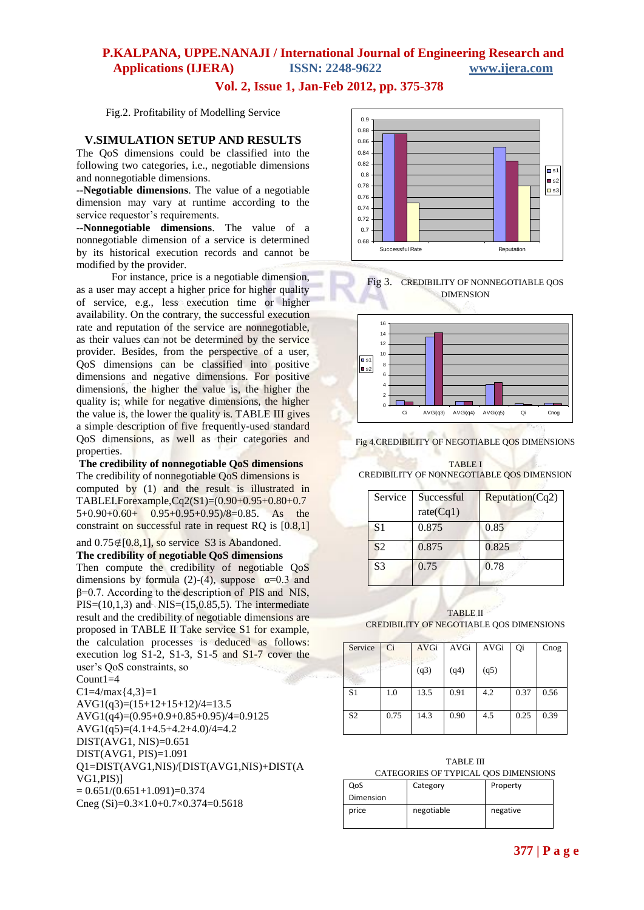### **Vol. 2, Issue 1, Jan-Feb 2012, pp. 375-378**

Fig.2. Profitability of Modelling Service

#### **V.SIMULATION SETUP AND RESULTS**

The QoS dimensions could be classified into the following two categories, i.e., negotiable dimensions and nonnegotiable dimensions.

--**Negotiable dimensions**. The value of a negotiable dimension may vary at runtime according to the service requestor's requirements.

--**Nonnegotiable dimensions**. The value of a nonnegotiable dimension of a service is determined by its historical execution records and cannot be modified by the provider.

 For instance, price is a negotiable dimension, as a user may accept a higher price for higher quality of service, e.g., less execution time or higher availability. On the contrary, the successful execution rate and reputation of the service are nonnegotiable, as their values can not be determined by the service provider. Besides, from the perspective of a user, QoS dimensions can be classified into positive dimensions and negative dimensions. For positive dimensions, the higher the value is, the higher the quality is; while for negative dimensions, the higher the value is, the lower the quality is. TABLE III gives a simple description of five frequently-used standard QoS dimensions, as well as their categories and properties.

**The credibility of nonnegotiable QoS dimensions**  The credibility of nonnegotiable QoS dimensions is computed by (1) and the result is illustrated in TABLEI.Forexample,Cq2(S1)=(0.90+0.95+0.80+0.7 5+0.90+0.60+ 0.95+0.95+0.95)/8=0.85. As the constraint on successful rate in request RQ is [0.8,1]

### and  $0.75 \notin [0.8, 1]$ , so service S3 is Abandoned.

**The credibility of negotiable QoS dimensions** Then compute the credibility of negotiable QoS dimensions by formula (2)-(4), suppose  $\alpha=0.3$  and  $\beta$ =0.7. According to the description of PIS and NIS,  $PIS=(10,1,3)$  and  $NIS=(15,0.85,5)$ . The intermediate result and the credibility of negotiable dimensions are proposed in TABLE II Take service S1 for example, the calculation processes is deduced as follows: execution log S1-2, S1-3, S1-5 and S1-7 cover the user's QoS constraints, so Count1=4

 $C1=4/max{4,3}=1$  $AVG1(q3)=(15+12+15+12)/4=13.5$ AVG1(q4)=(0.95+0.9+0.85+0.95)/4=0.9125 AVG1(q5)= $(4.1+4.5+4.2+4.0)/4=4.2$ DIST(AVG1, NIS)=0.651 DIST(AVG1, PIS)=1.091 Q1=DIST(AVG1,NIS)/[DIST(AVG1,NIS)+DIST(A VG1,PIS)]  $= 0.651/(0.651+1.091)=0.374$ Cneg (Si)= $0.3 \times 1.0 + 0.7 \times 0.374 = 0.5618$ 







Fig 4.CREDIBILITY OF NEGOTIABLE QOS DIMENSIONS

TABLE I CREDIBILITY OF NONNEGOTIABLE QOS DIMENSION

| Service        | Successful<br>rate(Cq1) | Reputation(Cq2) |
|----------------|-------------------------|-----------------|
| S <sub>1</sub> | 0.875                   | 0.85            |
| S <sub>2</sub> | 0.875                   | 0.825           |
| S <sub>3</sub> | 0.75                    | 0.78            |

TABLE II CREDIBILITY OF NEGOTIABLE QOS DIMENSIONS

| Service        | Ci   | <b>AVGi</b> | <b>AVGi</b> | <b>AVGi</b> | Qi   | C <sub>nog</sub> |
|----------------|------|-------------|-------------|-------------|------|------------------|
|                |      |             |             |             |      |                  |
|                |      | (q3)        | (q4)        | (q5)        |      |                  |
|                |      |             |             |             |      |                  |
|                |      |             |             |             |      |                  |
| S <sub>1</sub> | 1.0  | 13.5        | 0.91        | 4.2         | 0.37 | 0.56             |
|                |      |             |             |             |      |                  |
|                |      |             |             |             |      |                  |
| S <sub>2</sub> | 0.75 | 14.3        | 0.90        | 4.5         | 0.25 | 0.39             |
|                |      |             |             |             |      |                  |
|                |      |             |             |             |      |                  |

TABLE III CATEGORIES OF TYPICAL QOS DIMENSIONS

| QoS       | Category   | Property |  |
|-----------|------------|----------|--|
| Dimension |            |          |  |
| price     | negotiable | negative |  |
|           |            |          |  |